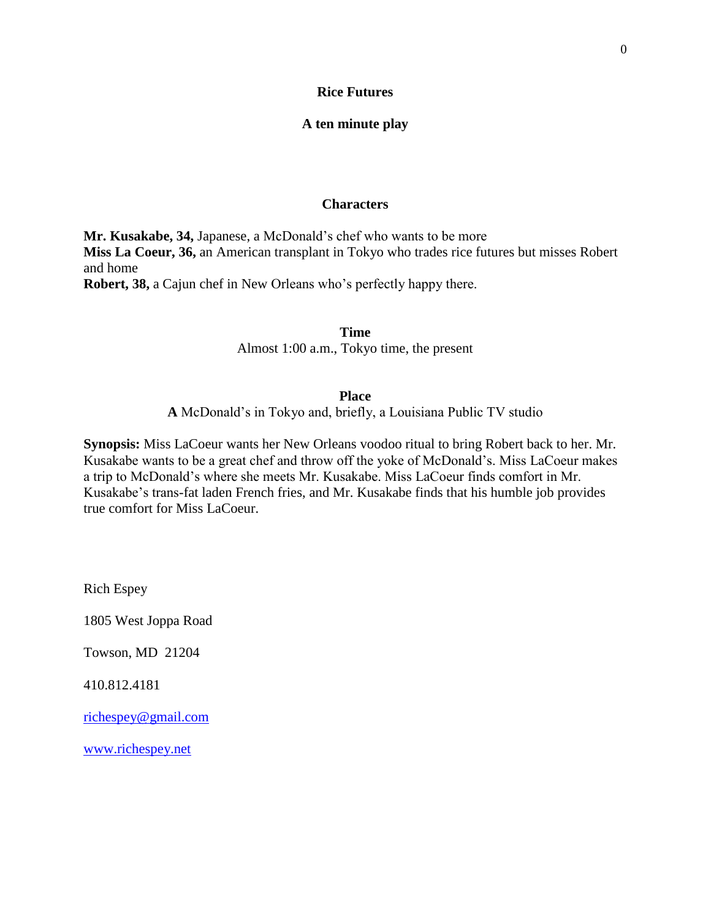## **Rice Futures**

## **A ten minute play**

## **Characters**

**Mr. Kusakabe, 34,** Japanese, a McDonald"s chef who wants to be more **Miss La Coeur, 36,** an American transplant in Tokyo who trades rice futures but misses Robert and home **Robert, 38,** a Cajun chef in New Orleans who's perfectly happy there.

> **Time** Almost 1:00 a.m., Tokyo time, the present

#### **Place**

**A** McDonald"s in Tokyo and, briefly, a Louisiana Public TV studio

**Synopsis:** Miss LaCoeur wants her New Orleans voodoo ritual to bring Robert back to her. Mr. Kusakabe wants to be a great chef and throw off the yoke of McDonald"s. Miss LaCoeur makes a trip to McDonald"s where she meets Mr. Kusakabe. Miss LaCoeur finds comfort in Mr. Kusakabe's trans-fat laden French fries, and Mr. Kusakabe finds that his humble job provides true comfort for Miss LaCoeur.

Rich Espey

1805 West Joppa Road

Towson, MD 21204

410.812.4181

[richespey@gmail.com](mailto:richespey@gmail.com)

[www.richespey.net](http://www.richespey.net/)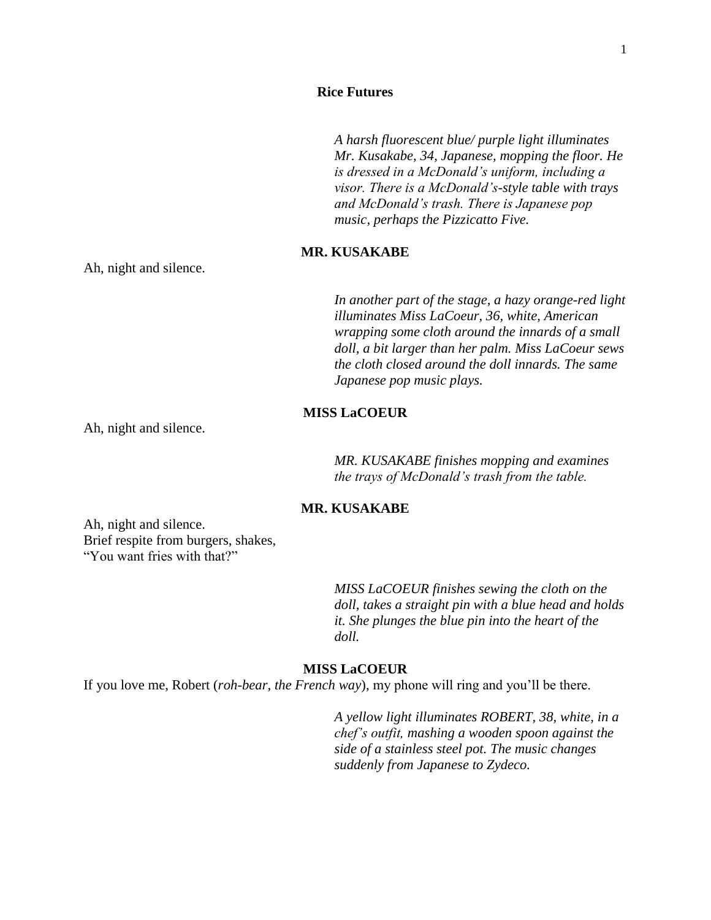### **Rice Futures**

*A harsh fluorescent blue/ purple light illuminates Mr. Kusakabe, 34, Japanese, mopping the floor. He is dressed in a McDonald's uniform, including a visor. There is a McDonald's-style table with trays and McDonald's trash. There is Japanese pop music, perhaps the Pizzicatto Five.* 

## **MR. KUSAKABE**

Ah, night and silence.

*In another part of the stage, a hazy orange-red light illuminates Miss LaCoeur, 36, white, American wrapping some cloth around the innards of a small doll, a bit larger than her palm. Miss LaCoeur sews the cloth closed around the doll innards. The same Japanese pop music plays.*

## **MISS LaCOEUR**

Ah, night and silence.

*MR. KUSAKABE finishes mopping and examines the trays of McDonald's trash from the table.* 

## **MR. KUSAKABE**

Ah, night and silence. Brief respite from burgers, shakes, "You want fries with that?"

> *MISS LaCOEUR finishes sewing the cloth on the doll, takes a straight pin with a blue head and holds it. She plunges the blue pin into the heart of the doll.*

#### **MISS LaCOEUR**

If you love me, Robert (*roh-bear, the French way*), my phone will ring and you"ll be there.

*A yellow light illuminates ROBERT, 38, white, in a chef's outfit, mashing a wooden spoon against the side of a stainless steel pot. The music changes suddenly from Japanese to Zydeco.*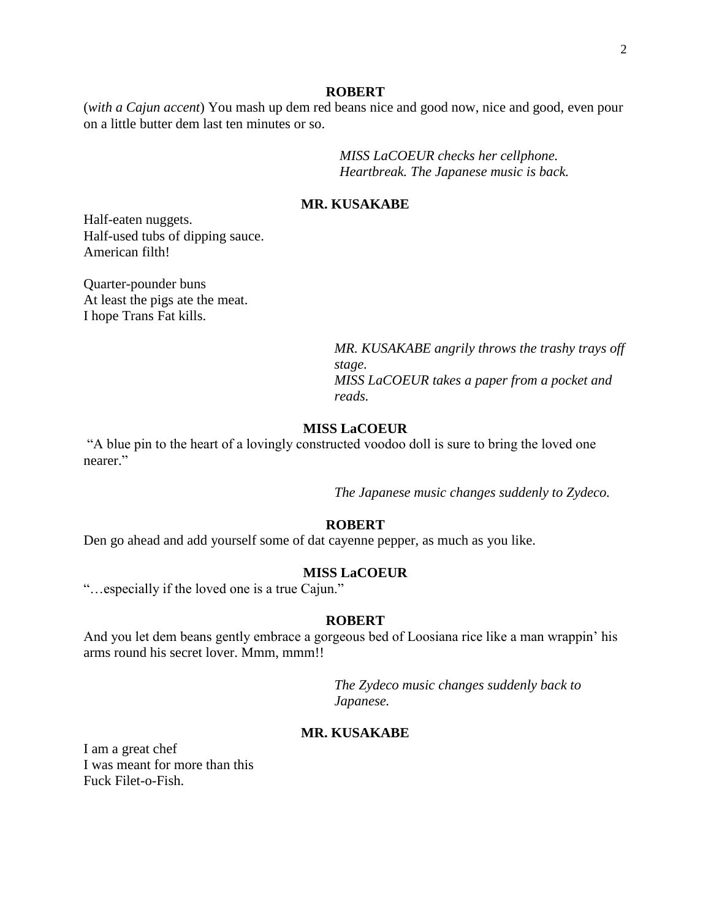#### **ROBERT**

(*with a Cajun accent*) You mash up dem red beans nice and good now, nice and good, even pour on a little butter dem last ten minutes or so.

> *MISS LaCOEUR checks her cellphone. Heartbreak. The Japanese music is back.*

## **MR. KUSAKABE**

Half-eaten nuggets. Half-used tubs of dipping sauce. American filth!

Quarter-pounder buns At least the pigs ate the meat. I hope Trans Fat kills.

> *MR. KUSAKABE angrily throws the trashy trays off stage. MISS LaCOEUR takes a paper from a pocket and reads.*

## **MISS LaCOEUR**

"A blue pin to the heart of a lovingly constructed voodoo doll is sure to bring the loved one nearer."

*The Japanese music changes suddenly to Zydeco.*

## **ROBERT**

Den go ahead and add yourself some of dat cayenne pepper, as much as you like.

#### **MISS LaCOEUR**

"…especially if the loved one is a true Cajun."

### **ROBERT**

And you let dem beans gently embrace a gorgeous bed of Loosiana rice like a man wrappin" his arms round his secret lover. Mmm, mmm!!

> *The Zydeco music changes suddenly back to Japanese.*

### **MR. KUSAKABE**

I am a great chef I was meant for more than this Fuck Filet-o-Fish.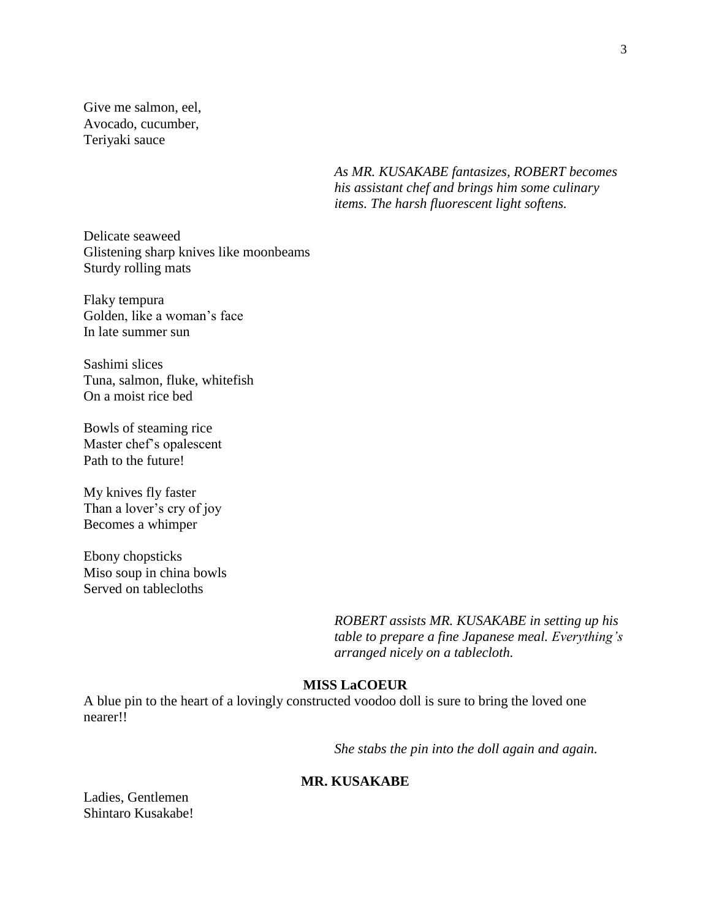Give me salmon, eel, Avocado, cucumber, Teriyaki sauce

> *As MR. KUSAKABE fantasizes, ROBERT becomes his assistant chef and brings him some culinary items. The harsh fluorescent light softens.*

Delicate seaweed Glistening sharp knives like moonbeams Sturdy rolling mats

Flaky tempura Golden, like a woman"s face In late summer sun

Sashimi slices Tuna, salmon, fluke, whitefish On a moist rice bed

Bowls of steaming rice Master chef"s opalescent Path to the future!

My knives fly faster Than a lover's cry of joy Becomes a whimper

Ebony chopsticks Miso soup in china bowls Served on tablecloths

> *ROBERT assists MR. KUSAKABE in setting up his table to prepare a fine Japanese meal. Everything's arranged nicely on a tablecloth.*

# **MISS LaCOEUR**

A blue pin to the heart of a lovingly constructed voodoo doll is sure to bring the loved one nearer!!

*She stabs the pin into the doll again and again.*

## **MR. KUSAKABE**

Ladies, Gentlemen Shintaro Kusakabe!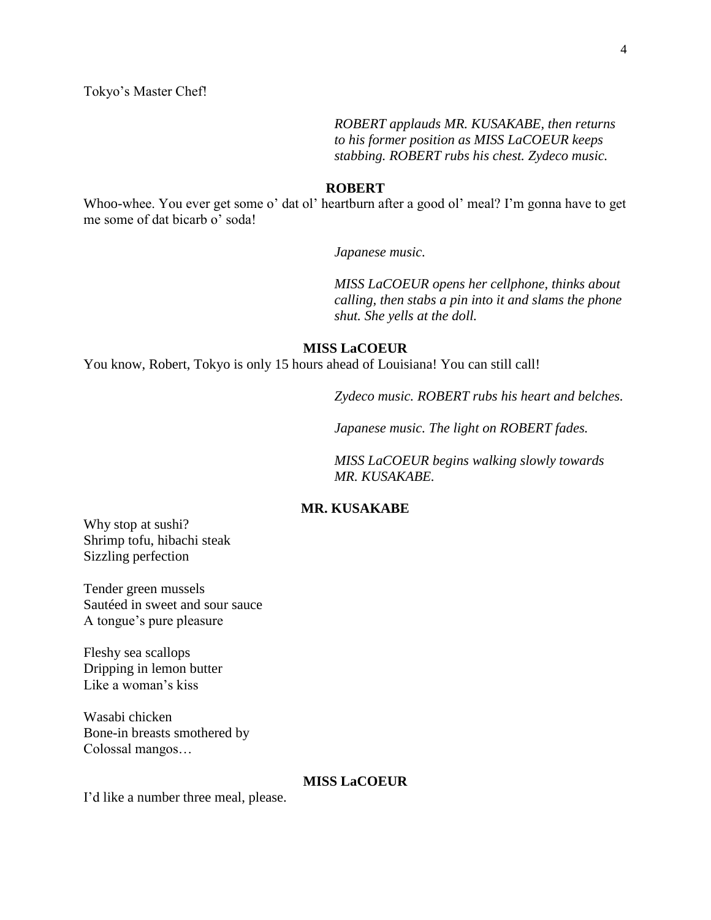*ROBERT applauds MR. KUSAKABE, then returns to his former position as MISS LaCOEUR keeps stabbing. ROBERT rubs his chest. Zydeco music.*

#### **ROBERT**

Whoo-whee. You ever get some o' dat ol' heartburn after a good ol' meal? I'm gonna have to get me some of dat bicarb o' soda!

*Japanese music.*

*MISS LaCOEUR opens her cellphone, thinks about calling, then stabs a pin into it and slams the phone shut. She yells at the doll.*

#### **MISS LaCOEUR**

You know, Robert, Tokyo is only 15 hours ahead of Louisiana! You can still call!

*Zydeco music. ROBERT rubs his heart and belches.* 

*Japanese music. The light on ROBERT fades.* 

*MISS LaCOEUR begins walking slowly towards MR. KUSAKABE.*

## **MR. KUSAKABE**

Why stop at sushi? Shrimp tofu, hibachi steak Sizzling perfection

Tender green mussels Sautéed in sweet and sour sauce A tongue"s pure pleasure

Fleshy sea scallops Dripping in lemon butter Like a woman's kiss

Wasabi chicken Bone-in breasts smothered by Colossal mangos…

## **MISS LaCOEUR**

I'd like a number three meal, please.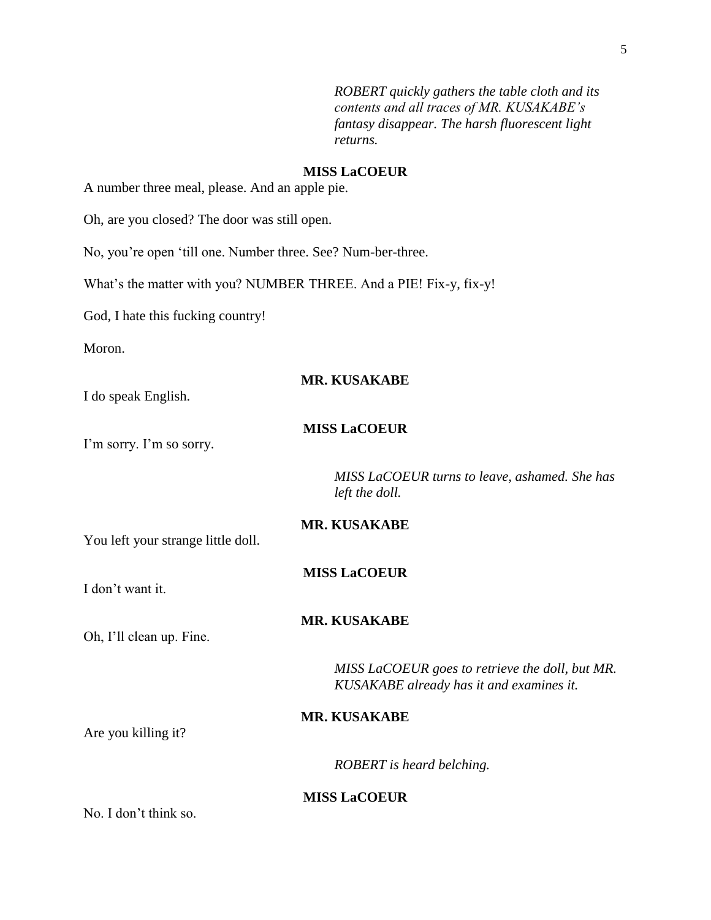*ROBERT quickly gathers the table cloth and its contents and all traces of MR. KUSAKABE's fantasy disappear. The harsh fluorescent light returns.*

## **MISS LaCOEUR**

A number three meal, please. And an apple pie.

Oh, are you closed? The door was still open.

No, you"re open "till one. Number three. See? Num-ber-three.

What's the matter with you? NUMBER THREE. And a PIE! Fix-y, fix-y!

God, I hate this fucking country!

Moron.

#### **MR. KUSAKABE**

I do speak English.

## **MISS LaCOEUR**

I'm sorry. I'm so sorry.

*MISS LaCOEUR turns to leave, ashamed. She has left the doll.*

You left your strange little doll.

### **MISS LaCOEUR**

**MR. KUSAKABE**

I don"t want it.

#### **MR. KUSAKABE**

Oh, I"ll clean up. Fine.

*MISS LaCOEUR goes to retrieve the doll, but MR. KUSAKABE already has it and examines it.*

## **MR. KUSAKABE**

Are you killing it?

*ROBERT is heard belching.*

#### **MISS LaCOEUR**

No. I don"t think so.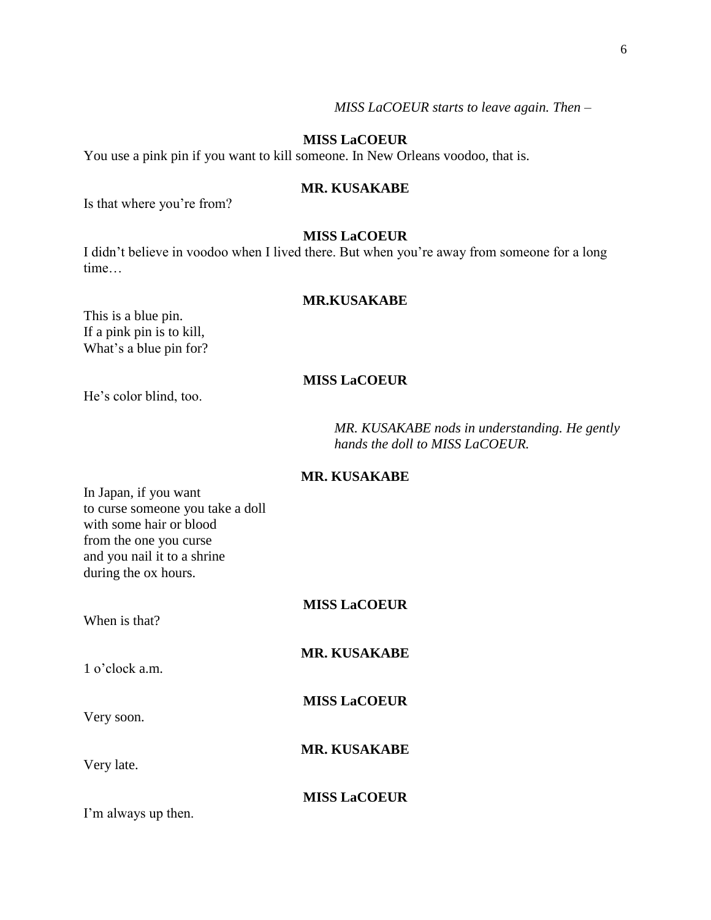## *MISS LaCOEUR starts to leave again. Then –*

#### **MISS LaCOEUR**

You use a pink pin if you want to kill someone. In New Orleans voodoo, that is.

#### **MR. KUSAKABE**

Is that where you"re from?

### **MISS LaCOEUR**

I didn"t believe in voodoo when I lived there. But when you"re away from someone for a long time…

## **MR.KUSAKABE**

This is a blue pin. If a pink pin is to kill, What's a blue pin for?

## **MISS LaCOEUR**

He"s color blind, too.

*MR. KUSAKABE nods in understanding. He gently hands the doll to MISS LaCOEUR.*

#### **MR. KUSAKABE**

In Japan, if you want to curse someone you take a doll with some hair or blood from the one you curse and you nail it to a shrine during the ox hours.

| When is that?       | <b>MISS LaCOEUR</b> |
|---------------------|---------------------|
| $1$ o'clock a.m.    | <b>MR. KUSAKABE</b> |
| Very soon.          | <b>MISS LaCOEUR</b> |
| Very late.          | <b>MR. KUSAKABE</b> |
| I'm always up then. | <b>MISS LaCOEUR</b> |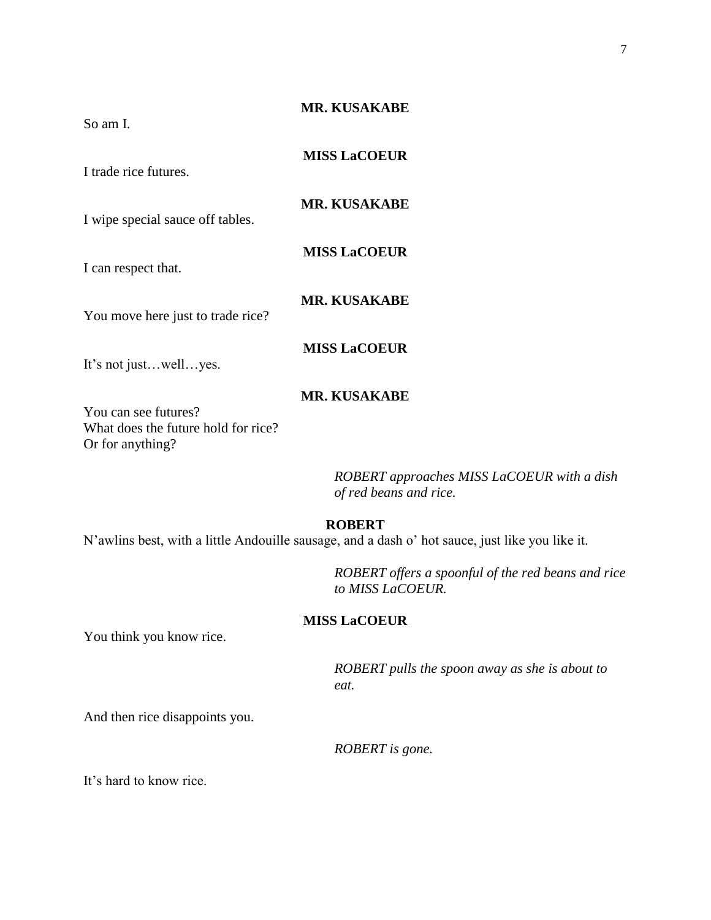| So am I.                                                                        | <b>MR. KUSAKABE</b>                                                  |
|---------------------------------------------------------------------------------|----------------------------------------------------------------------|
| I trade rice futures.                                                           | <b>MISS LaCOEUR</b>                                                  |
| I wipe special sauce off tables.                                                | <b>MR. KUSAKABE</b>                                                  |
| I can respect that.                                                             | <b>MISS LaCOEUR</b>                                                  |
| You move here just to trade rice?                                               | <b>MR. KUSAKABE</b>                                                  |
| It's not justwellyes.                                                           | <b>MISS LaCOEUR</b>                                                  |
| You can see futures?<br>What does the future hold for rice?<br>Or for anything? | <b>MR. KUSAKABE</b>                                                  |
|                                                                                 | ROBERT approaches MISS LaCOEUR with a dish<br>of red beans and rice. |
|                                                                                 | <b>ROBERT</b>                                                        |

N"awlins best, with a little Andouille sausage, and a dash o" hot sauce, just like you like it.

*ROBERT offers a spoonful of the red beans and rice to MISS LaCOEUR.*

# **MISS LaCOEUR**

You think you know rice.

*ROBERT pulls the spoon away as she is about to eat.*

And then rice disappoints you.

*ROBERT is gone.*

It"s hard to know rice.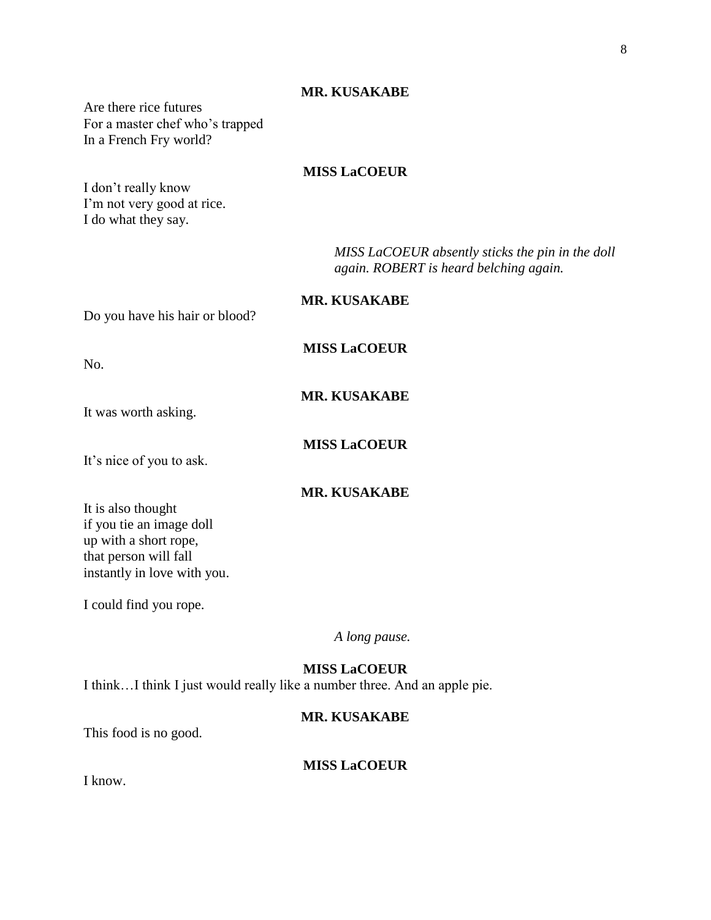## **MR. KUSAKABE**

Are there rice futures For a master chef who"s trapped In a French Fry world?

## **MISS LaCOEUR**

I don"t really know I'm not very good at rice. I do what they say.

> *MISS LaCOEUR absently sticks the pin in the doll again. ROBERT is heard belching again.*

Do you have his hair or blood?

No.

**MISS LaCOEUR**

**MR. KUSAKABE**

**MR. KUSAKABE**

**MISS LaCOEUR**

It's nice of you to ask.

It was worth asking.

**MR. KUSAKABE**

It is also thought if you tie an image doll up with a short rope, that person will fall instantly in love with you.

I could find you rope.

*A long pause.*

## **MISS LaCOEUR**

I think…I think I just would really like a number three. And an apple pie.

## **MR. KUSAKABE**

This food is no good.

## **MISS LaCOEUR**

I know.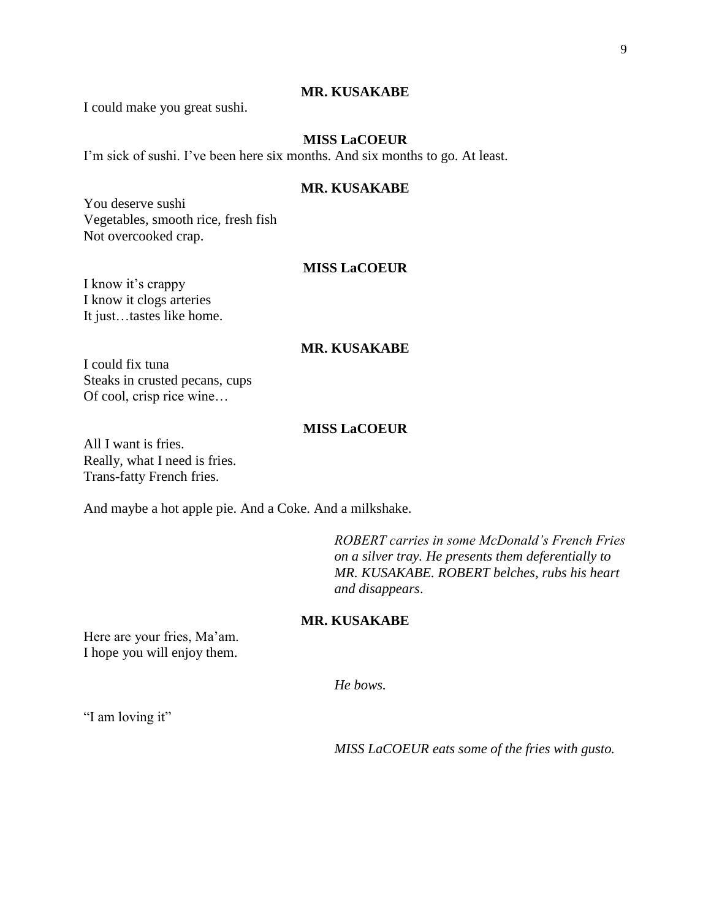## **MR. KUSAKABE**

I could make you great sushi.

## **MISS LaCOEUR**

I'm sick of sushi. I've been here six months. And six months to go. At least.

### **MR. KUSAKABE**

You deserve sushi Vegetables, smooth rice, fresh fish Not overcooked crap.

## **MISS LaCOEUR**

I know it's crappy I know it clogs arteries It just…tastes like home.

## **MR. KUSAKABE**

I could fix tuna Steaks in crusted pecans, cups Of cool, crisp rice wine…

## **MISS LaCOEUR**

All I want is fries. Really, what I need is fries. Trans-fatty French fries.

And maybe a hot apple pie. And a Coke. And a milkshake.

*ROBERT carries in some McDonald's French Fries on a silver tray. He presents them deferentially to MR. KUSAKABE. ROBERT belches, rubs his heart and disappears*.

## **MR. KUSAKABE**

Here are your fries, Ma'am. I hope you will enjoy them.

*He bows.*

"I am loving it"

*MISS LaCOEUR eats some of the fries with gusto.*